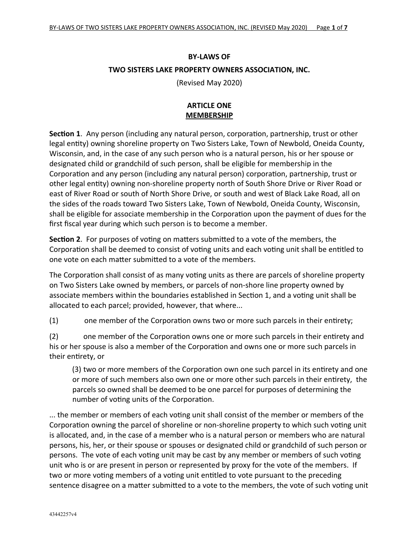# **BY-LAWS OF TWO SISTERS LAKE PROPERTY OWNERS ASSOCIATION, INC.**

(Revised May 2020)

#### **ARTICLE ONE MEMBERSHIP**

**Section 1**.Any person (including any natural person, corporation, partnership, trust or other legal entity) owning shoreline property on Two Sisters Lake, Town of Newbold, Oneida County, Wisconsin, and, in the case of any such person who is a natural person, his or her spouse or designated child or grandchild of such person, shall be eligible for membership in the Corporation and any person (including any natural person) corporation, partnership, trust or other legal entity) owning non-shoreline property north of South Shore Drive or River Road or east of River Road or south of North Shore Drive, or south and west of Black Lake Road, all on the sides of the roads toward Two Sisters Lake, Town of Newbold, Oneida County, Wisconsin, shall be eligible for associate membership in the Corporation upon the payment of dues for the first fiscal year during which such person is to become a member.

**Section 2**. For purposes of voting on matters submitted to a vote of the members, the Corporation shall be deemed to consist of voting units and each voting unit shall be entitled to one vote on each matter submitted to a vote of the members.

The Corporation shall consist of as many voting units as there are parcels of shoreline property on Two Sisters Lake owned by members, or parcels of non-shore line property owned by associate members within the boundaries established in Section 1, and a voting unit shall be allocated to each parcel; provided, however, that where...

(1) one member of the Corporation owns two or more such parcels in their entirety;

(2) one member of the Corporation owns one or more such parcels in their entirety and his or her spouse is also a member of the Corporation and owns one or more such parcels in their entirety, or

(3) two or more members of the Corporation own one such parcel in its entirety and one or more of such members also own one or more other such parcels in their entirety, the parcels so owned shall be deemed to be one parcel for purposes of determining the number of voting units of the Corporation.

... the member or members of each voting unit shall consist of the member or members of the Corporation owning the parcel of shoreline or non-shoreline property to which such voting unit is allocated, and, in the case of a member who is a natural person or members who are natural persons, his, her, or their spouse or spouses or designated child or grandchild of such person or persons. The vote of each voting unit may be cast by any member or members of such voting unit who is or are present in person or represented by proxy for the vote of the members. If two or more voting members of a voting unit entitled to vote pursuant to the preceding sentence disagree on a matter submitted to a vote to the members, the vote of such voting unit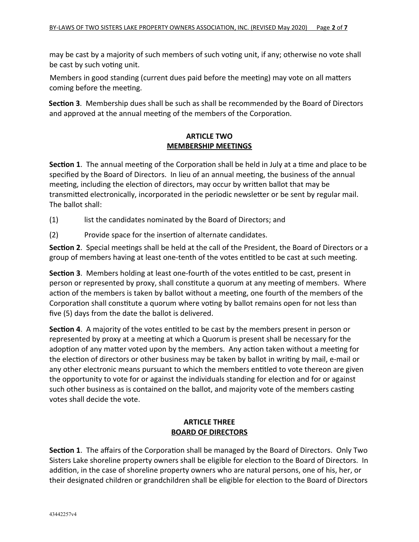may be cast by a majority of such members of such voting unit, if any; otherwise no vote shall be cast by such voting unit.

Members in good standing (current dues paid before the meeting) may vote on all matters coming before the meeting.

**Section 3**. Membership dues shall be such as shall be recommended by the Board of Directors and approved at the annual meeting of the members of the Corporation.

## **ARTICLE TWO MEMBERSHIP MEETINGS**

**Section 1**. The annual meeting of the Corporation shall be held in July at a time and place to be specified by the Board of Directors. In lieu of an annual meeting, the business of the annual meeting, including the election of directors, may occur by written ballot that may be transmitted electronically, incorporated in the periodic newsletter or be sent by regular mail. The ballot shall:

- (1) list the candidates nominated by the Board of Directors; and
- (2) Provide space for the insertion of alternate candidates.

**Section 2**. Special meetings shall be held at the call of the President, the Board of Directors or a group of members having at least one-tenth of the votes entitled to be cast at such meeting.

**Section 3**. Members holding at least one-fourth of the votes entitled to be cast, present in person or represented by proxy, shall constitute a quorum at any meeting of members. Where action of the members is taken by ballot without a meeting, one fourth of the members of the Corporation shall constitute a quorum where voting by ballot remains open for not less than five (5) days from the date the ballot is delivered.

**Section 4**. A majority of the votes entitled to be cast by the members present in person or represented by proxy at a meeting at which a Quorum is present shall be necessary for the adoption of any matter voted upon by the members. Any action taken without a meeting for the election of directors or other business may be taken by ballot in writing by mail, e-mail or any other electronic means pursuant to which the members entitled to vote thereon are given the opportunity to vote for or against the individuals standing for election and for or against such other business as is contained on the ballot, and majority vote of the members casting votes shall decide the vote.

## **ARTICLE THREE BOARD OF DIRECTORS**

**Section 1**. The affairs of the Corporation shall be managed by the Board of Directors. Only Two Sisters Lake shoreline property owners shall be eligible for election to the Board of Directors. In addition, in the case of shoreline property owners who are natural persons, one of his, her, or their designated children or grandchildren shall be eligible for election to the Board of Directors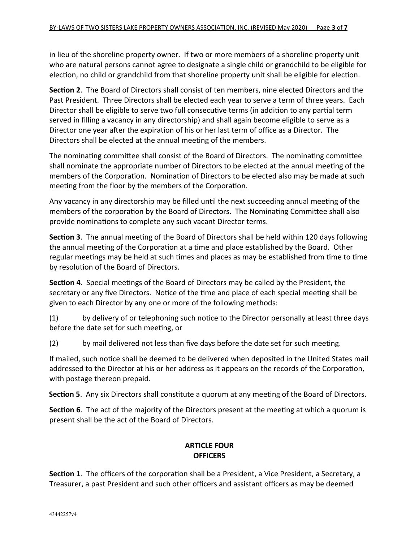in lieu of the shoreline property owner. If two or more members of a shoreline property unit who are natural persons cannot agree to designate a single child or grandchild to be eligible for election, no child or grandchild from that shoreline property unit shall be eligible for election.

**Section 2**. The Board of Directors shall consist of ten members, nine elected Directors and the Past President. Three Directors shall be elected each year to serve a term of three years. Each Director shall be eligible to serve two full consecutive terms (in addition to any partial term served in filling a vacancy in any directorship) and shall again become eligible to serve as a Director one year after the expiration of his or her last term of office as a Director. The Directors shall be elected at the annual meeting of the members.

The nominating committee shall consist of the Board of Directors. The nominating committee shall nominate the appropriate number of Directors to be elected at the annual meeting of the members of the Corporation. Nomination of Directors to be elected also may be made at such meeting from the floor by the members of the Corporation.

Any vacancy in any directorship may be filled until the next succeeding annual meeting of the members of the corporation by the Board of Directors. The Nominating Committee shall also provide nominations to complete any such vacant Director terms.

**Section 3**. The annual meeting of the Board of Directors shall be held within 120 days following the annual meeting of the Corporation at a time and place established by the Board. Other regular meetings may be held at such times and places as may be established from time to time by resolution of the Board of Directors.

**Section 4**.Special meetings of the Board of Directors may be called by the President, the secretary or any five Directors. Notice of the time and place of each special meeting shall be given to each Director by any one or more of the following methods:

(1) by delivery of or telephoning such notice to the Director personally at least three days before the date set for such meeting, or

(2) by mail delivered not less than five days before the date set for such meeting.

If mailed, such notice shall be deemed to be delivered when deposited in the United States mail addressed to the Director at his or her address as it appears on the records of the Corporation, with postage thereon prepaid.

**Section 5**. Any six Directors shall constitute a quorum at any meeting of the Board of Directors.

**Section 6**. The act of the majority of the Directors present at the meeting at which a quorum is present shall be the act of the Board of Directors.

## **ARTICLE FOUR OFFICERS**

**Section 1**.The officers of the corporation shall be a President, a Vice President, a Secretary, a Treasurer, a past President and such other officers and assistant officers as may be deemed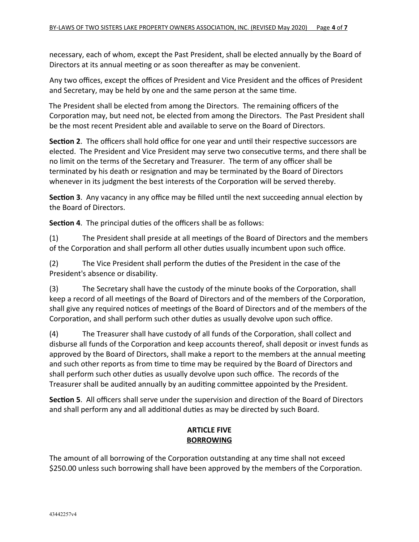necessary, each of whom, except the Past President, shall be elected annually by the Board of Directors at its annual meeting or as soon thereafter as may be convenient.

Any two offices, except the offices of President and Vice President and the offices of President and Secretary, may be held by one and the same person at the same time.

The President shall be elected from among the Directors. The remaining officers of the Corporation may, but need not, be elected from among the Directors. The Past President shall be the most recent President able and available to serve on the Board of Directors.

**Section 2**. The officers shall hold office for one year and until their respective successors are elected. The President and Vice President may serve two consecutive terms, and there shall be no limit on the terms of the Secretary and Treasurer. The term of any officer shall be terminated by his death or resignation and may be terminated by the Board of Directors whenever in its judgment the best interests of the Corporation will be served thereby.

**Section 3**. Any vacancy in any office may be filled until the next succeeding annual election by the Board of Directors.

**Section 4**. The principal duties of the officers shall be as follows:

(1) The President shall preside at all meetings of the Board of Directors and the members of the Corporation and shall perform all other duties usually incumbent upon such office.

(2) The Vice President shall perform the duties of the President in the case of the President's absence or disability.

(3) The Secretary shall have the custody of the minute books of the Corporation, shall keep a record of all meetings of the Board of Directors and of the members of the Corporation, shall give any required notices of meetings of the Board of Directors and of the members of the Corporation, and shall perform such other duties as usually devolve upon such office.

(4) The Treasurer shall have custody of all funds of the Corporation, shall collect and disburse all funds of the Corporation and keep accounts thereof, shall deposit or invest funds as approved by the Board of Directors, shall make a report to the members at the annual meeting and such other reports as from time to time may be required by the Board of Directors and shall perform such other duties as usually devolve upon such office. The records of the Treasurer shall be audited annually by an auditing committee appointed by the President.

**Section 5**. All officers shall serve under the supervision and direction of the Board of Directors and shall perform any and all additional duties as may be directed by such Board.

## **ARTICLE FIVE BORROWING**

The amount of all borrowing of the Corporation outstanding at any time shall not exceed \$250.00 unless such borrowing shall have been approved by the members of the Corporation.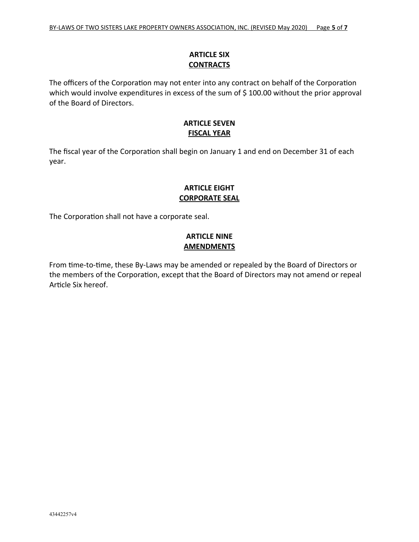#### **ARTICLE SIX CONTRACTS**

The officers of the Corporation may not enter into any contract on behalf of the Corporation which would involve expenditures in excess of the sum of \$100.00 without the prior approval of the Board of Directors.

#### **ARTICLE SEVEN FISCAL YEAR**

The fiscal year of the Corporation shall begin on January 1 and end on December 31 of each year.

#### **ARTICLE EIGHT CORPORATE SEAL**

The Corporation shall not have a corporate seal.

## **ARTICLE NINE AMENDMENTS**

From time-to-time, these By-Laws may be amended or repealed by the Board of Directors or the members of the Corporation, except that the Board of Directors may not amend or repeal Article Six hereof.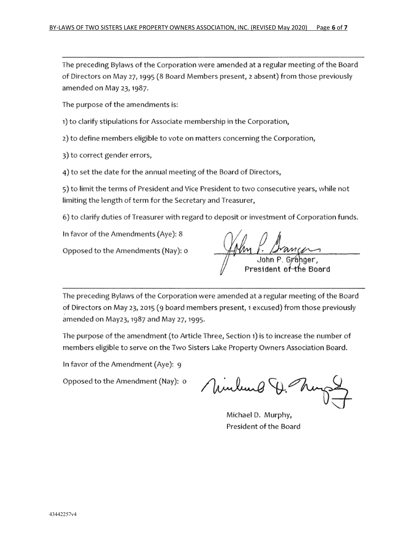The preceding Bylaws of the Corporation were amended at a regular meeting of the Board of Directors on May 27, 1995 (8 Board Members present, 2 absent) from those previously amended on May 23, 1987.

The purpose of the amendments is:

1) to clarify stipulations for Associate membership in the Corporation,

2) to define members eligible to vote on matters concerning the Corporation,

3) to correct gender errors,

4) to set the date for the annual meeting of the Board of Directors,

5) to limit the terms of President and Vice President to two consecutive years, while not limiting the length of term for the Secretary and Treasurer,

6) to clarify duties of Treasurer with regard to deposit or investment of Corporation funds.

In favor of the Amendments (Aye): 8

Opposed to the Amendments (Nay): 0

The preceding Bylaws of the Corporation were amended at a regular meeting of the Board of Directors on May 23, 2015 (9 board members present, 1 excused) from those previously amended on May23, 1987 and May 27, 1995.

The purpose of the amendment (to Article Three, Section 1) is to increase the number of members eligible to serve on the Two Sisters Lake Property Owners Association Board.

In favor of the Amendment (Aye): 9

Opposed to the Amendment (Nay): 0

Ninhand

Michael D. Murphy, President of the Board